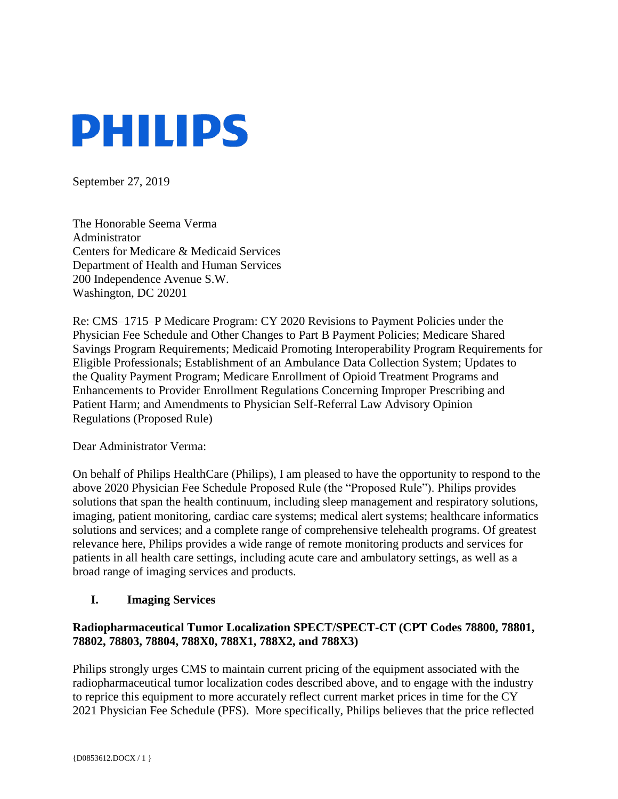

September 27, 2019

The Honorable Seema Verma Administrator Centers for Medicare & Medicaid Services Department of Health and Human Services 200 Independence Avenue S.W. Washington, DC 20201

Re: CMS–1715–P Medicare Program: CY 2020 Revisions to Payment Policies under the Physician Fee Schedule and Other Changes to Part B Payment Policies; Medicare Shared Savings Program Requirements; Medicaid Promoting Interoperability Program Requirements for Eligible Professionals; Establishment of an Ambulance Data Collection System; Updates to the Quality Payment Program; Medicare Enrollment of Opioid Treatment Programs and Enhancements to Provider Enrollment Regulations Concerning Improper Prescribing and Patient Harm; and Amendments to Physician Self-Referral Law Advisory Opinion Regulations (Proposed Rule)

Dear Administrator Verma:

On behalf of Philips HealthCare (Philips), I am pleased to have the opportunity to respond to the above 2020 Physician Fee Schedule Proposed Rule (the "Proposed Rule"). Philips provides solutions that span the health continuum, including sleep management and respiratory solutions, imaging, patient monitoring, cardiac care systems; medical alert systems; healthcare informatics solutions and services; and a complete range of comprehensive telehealth programs. Of greatest relevance here, Philips provides a wide range of remote monitoring products and services for patients in all health care settings, including acute care and ambulatory settings, as well as a broad range of imaging services and products.

#### **I. Imaging Services**

### **Radiopharmaceutical Tumor Localization SPECT/SPECT-CT (CPT Codes 78800, 78801, 78802, 78803, 78804, 788X0, 788X1, 788X2, and 788X3)**

Philips strongly urges CMS to maintain current pricing of the equipment associated with the radiopharmaceutical tumor localization codes described above, and to engage with the industry to reprice this equipment to more accurately reflect current market prices in time for the CY 2021 Physician Fee Schedule (PFS). More specifically, Philips believes that the price reflected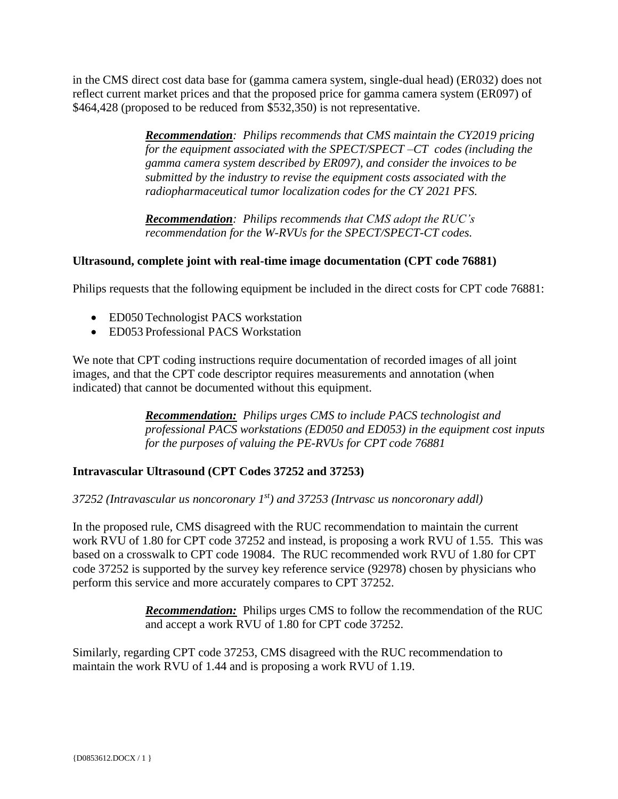in the CMS direct cost data base for (gamma camera system, single-dual head) (ER032) does not reflect current market prices and that the proposed price for gamma camera system (ER097) of \$464,428 (proposed to be reduced from \$532,350) is not representative.

> *Recommendation: Philips recommends that CMS maintain the CY2019 pricing for the equipment associated with the SPECT/SPECT –CT codes (including the gamma camera system described by ER097), and consider the invoices to be submitted by the industry to revise the equipment costs associated with the radiopharmaceutical tumor localization codes for the CY 2021 PFS.*

*Recommendation: Philips recommends that CMS adopt the RUC's recommendation for the W-RVUs for the SPECT/SPECT-CT codes.* 

# **Ultrasound, complete joint with real-time image documentation (CPT code 76881)**

Philips requests that the following equipment be included in the direct costs for CPT code 76881:

- ED050 Technologist PACS workstation
- ED053 Professional PACS Workstation

We note that CPT coding instructions require documentation of recorded images of all joint images, and that the CPT code descriptor requires measurements and annotation (when indicated) that cannot be documented without this equipment.

> *Recommendation: Philips urges CMS to include PACS technologist and professional PACS workstations (ED050 and ED053) in the equipment cost inputs for the purposes of valuing the PE-RVUs for CPT code 76881*

#### **Intravascular Ultrasound (CPT Codes 37252 and 37253)**

*37252 (Intravascular us noncoronary 1st) and 37253 (Intrvasc us noncoronary addl)*

In the proposed rule, CMS disagreed with the RUC recommendation to maintain the current work RVU of 1.80 for CPT code 37252 and instead, is proposing a work RVU of 1.55. This was based on a crosswalk to CPT code 19084. The RUC recommended work RVU of 1.80 for CPT code 37252 is supported by the survey key reference service (92978) chosen by physicians who perform this service and more accurately compares to CPT 37252.

> *Recommendation:* Philips urges CMS to follow the recommendation of the RUC and accept a work RVU of 1.80 for CPT code 37252.

Similarly, regarding CPT code 37253, CMS disagreed with the RUC recommendation to maintain the work RVU of 1.44 and is proposing a work RVU of 1.19.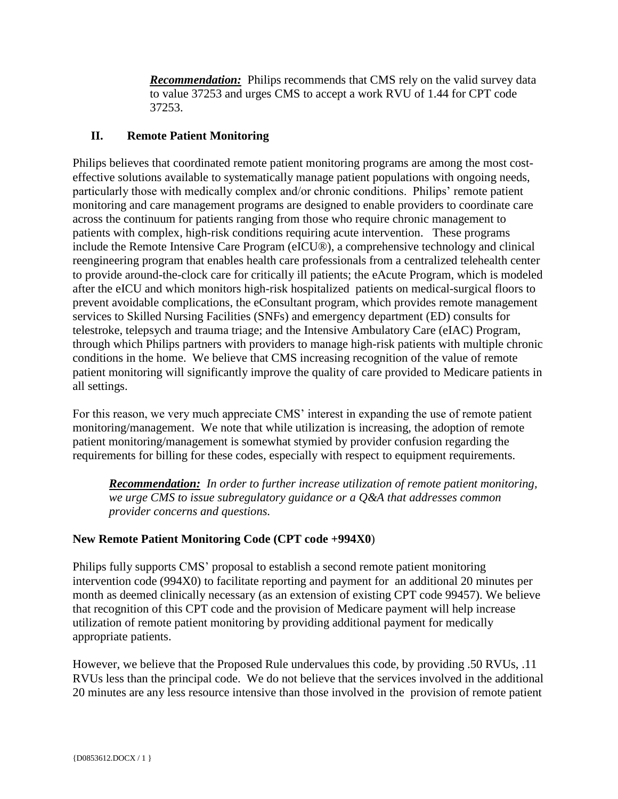*Recommendation:* Philips recommends that CMS rely on the valid survey data to value 37253 and urges CMS to accept a work RVU of 1.44 for CPT code 37253.

# **II. Remote Patient Monitoring**

Philips believes that coordinated remote patient monitoring programs are among the most costeffective solutions available to systematically manage patient populations with ongoing needs, particularly those with medically complex and/or chronic conditions. Philips' remote patient monitoring and care management programs are designed to enable providers to coordinate care across the continuum for patients ranging from those who require chronic management to patients with complex, high-risk conditions requiring acute intervention. These programs include the Remote Intensive Care Program (eICU®), a comprehensive technology and clinical reengineering program that enables health care professionals from a centralized telehealth center to provide around-the-clock care for critically ill patients; the eAcute Program, which is modeled after the eICU and which monitors high-risk hospitalized patients on medical-surgical floors to prevent avoidable complications, the eConsultant program, which provides remote management services to Skilled Nursing Facilities (SNFs) and emergency department (ED) consults for telestroke, telepsych and trauma triage; and the Intensive Ambulatory Care (eIAC) Program, through which Philips partners with providers to manage high-risk patients with multiple chronic conditions in the home. We believe that CMS increasing recognition of the value of remote patient monitoring will significantly improve the quality of care provided to Medicare patients in all settings.

For this reason, we very much appreciate CMS' interest in expanding the use of remote patient monitoring/management. We note that while utilization is increasing, the adoption of remote patient monitoring/management is somewhat stymied by provider confusion regarding the requirements for billing for these codes, especially with respect to equipment requirements.

*Recommendation: In order to further increase utilization of remote patient monitoring, we urge CMS to issue subregulatory guidance or a Q&A that addresses common provider concerns and questions.*

# **New Remote Patient Monitoring Code (CPT code +994X0**)

Philips fully supports CMS' proposal to establish a second remote patient monitoring intervention code (994X0) to facilitate reporting and payment for an additional 20 minutes per month as deemed clinically necessary (as an extension of existing CPT code 99457). We believe that recognition of this CPT code and the provision of Medicare payment will help increase utilization of remote patient monitoring by providing additional payment for medically appropriate patients.

However, we believe that the Proposed Rule undervalues this code, by providing .50 RVUs, .11 RVUs less than the principal code. We do not believe that the services involved in the additional 20 minutes are any less resource intensive than those involved in the provision of remote patient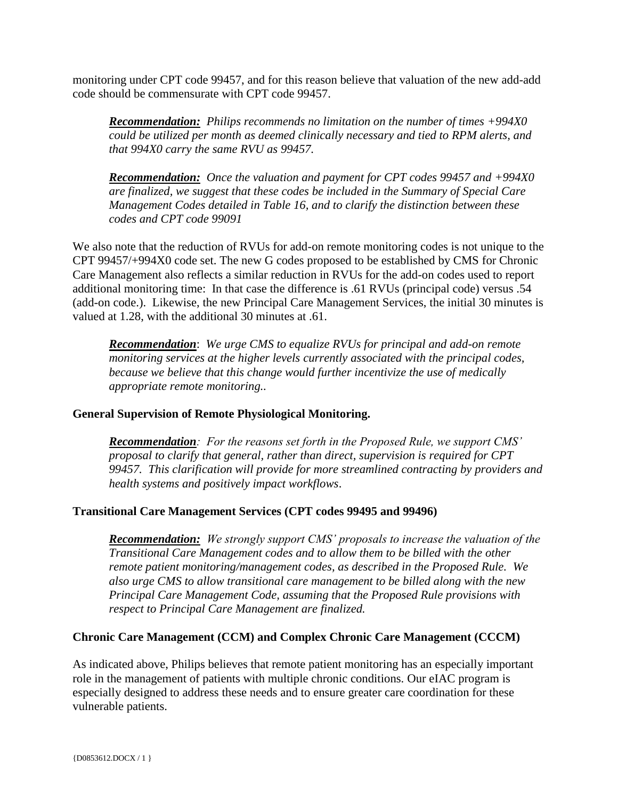monitoring under CPT code 99457, and for this reason believe that valuation of the new add-add code should be commensurate with CPT code 99457.

*Recommendation: Philips recommends no limitation on the number of times +994X0 could be utilized per month as deemed clinically necessary and tied to RPM alerts, and that 994X0 carry the same RVU as 99457.*

*Recommendation: Once the valuation and payment for CPT codes 99457 and +994X0 are finalized, we suggest that these codes be included in the Summary of Special Care Management Codes detailed in Table 16, and to clarify the distinction between these codes and CPT code 99091*

We also note that the reduction of RVUs for add-on remote monitoring codes is not unique to the CPT 99457/+994X0 code set. The new G codes proposed to be established by CMS for Chronic Care Management also reflects a similar reduction in RVUs for the add-on codes used to report additional monitoring time: In that case the difference is .61 RVUs (principal code) versus .54 (add-on code.). Likewise, the new Principal Care Management Services, the initial 30 minutes is valued at 1.28, with the additional 30 minutes at .61.

*Recommendation*: *We urge CMS to equalize RVUs for principal and add-on remote monitoring services at the higher levels currently associated with the principal codes, because we believe that this change would further incentivize the use of medically appropriate remote monitoring..* 

#### **General Supervision of Remote Physiological Monitoring.**

*Recommendation: For the reasons set forth in the Proposed Rule, we support CMS' proposal to clarify that general, rather than direct, supervision is required for CPT 99457. This clarification will provide for more streamlined contracting by providers and health systems and positively impact workflows*.

# **Transitional Care Management Services (CPT codes 99495 and 99496)**

*Recommendation: We strongly support CMS' proposals to increase the valuation of the Transitional Care Management codes and to allow them to be billed with the other remote patient monitoring/management codes, as described in the Proposed Rule. We also urge CMS to allow transitional care management to be billed along with the new Principal Care Management Code, assuming that the Proposed Rule provisions with respect to Principal Care Management are finalized.* 

#### **Chronic Care Management (CCM) and Complex Chronic Care Management (CCCM)**

As indicated above, Philips believes that remote patient monitoring has an especially important role in the management of patients with multiple chronic conditions. Our eIAC program is especially designed to address these needs and to ensure greater care coordination for these vulnerable patients.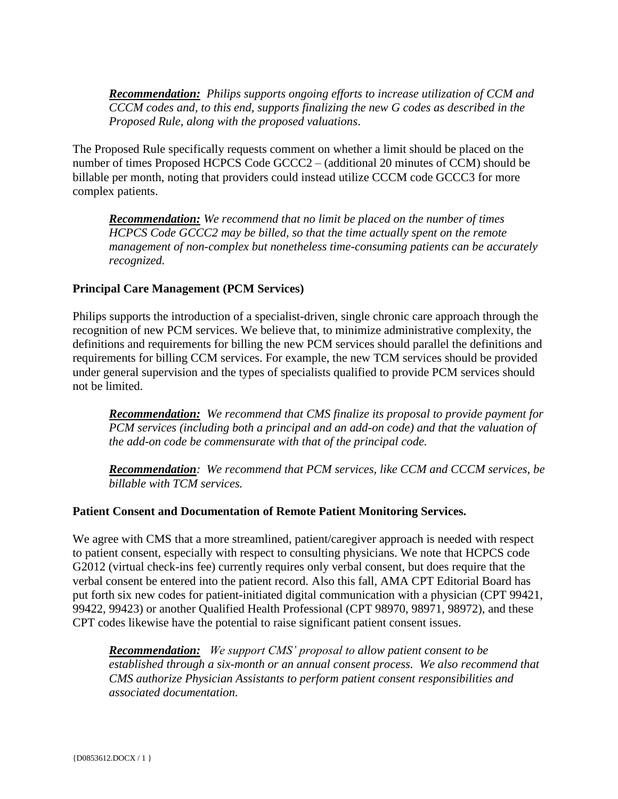*Recommendation: Philips supports ongoing efforts to increase utilization of CCM and CCCM codes and, to this end, supports finalizing the new G codes as described in the Proposed Rule, along with the proposed valuations*.

The Proposed Rule specifically requests comment on whether a limit should be placed on the number of times Proposed HCPCS Code GCCC2 – (additional 20 minutes of CCM) should be billable per month, noting that providers could instead utilize CCCM code GCCC3 for more complex patients.

*Recommendation: We recommend that no limit be placed on the number of times HCPCS Code GCCC2 may be billed, so that the time actually spent on the remote management of non-complex but nonetheless time-consuming patients can be accurately recognized.*

### **Principal Care Management (PCM Services)**

Philips supports the introduction of a specialist-driven, single chronic care approach through the recognition of new PCM services. We believe that, to minimize administrative complexity, the definitions and requirements for billing the new PCM services should parallel the definitions and requirements for billing CCM services. For example, the new TCM services should be provided under general supervision and the types of specialists qualified to provide PCM services should not be limited.

*Recommendation: We recommend that CMS finalize its proposal to provide payment for PCM services (including both a principal and an add-on code) and that the valuation of the add-on code be commensurate with that of the principal code.* 

*Recommendation: We recommend that PCM services, like CCM and CCCM services, be billable with TCM services.* 

#### **Patient Consent and Documentation of Remote Patient Monitoring Services.**

We agree with CMS that a more streamlined, patient/caregiver approach is needed with respect to patient consent, especially with respect to consulting physicians. We note that HCPCS code G2012 (virtual check-ins fee) currently requires only verbal consent, but does require that the verbal consent be entered into the patient record. Also this fall, AMA CPT Editorial Board has put forth six new codes for patient-initiated digital communication with a physician (CPT 99421, 99422, 99423) or another Qualified Health Professional (CPT 98970, 98971, 98972), and these CPT codes likewise have the potential to raise significant patient consent issues.

*Recommendation: We support CMS' proposal to allow patient consent to be established through a six-month or an annual consent process. We also recommend that CMS authorize Physician Assistants to perform patient consent responsibilities and associated documentation.*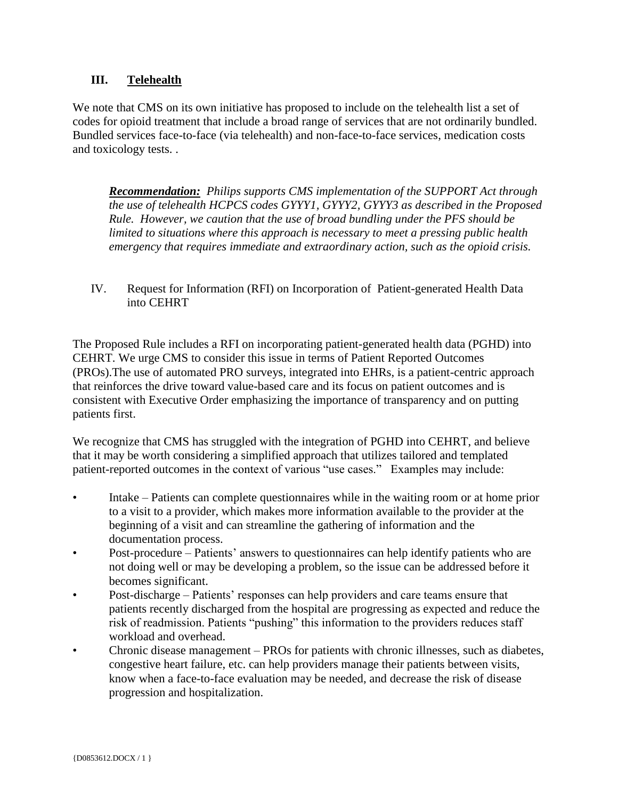# **III. Telehealth**

We note that CMS on its own initiative has proposed to include on the telehealth list a set of codes for opioid treatment that include a broad range of services that are not ordinarily bundled. Bundled services face-to-face (via telehealth) and non-face-to-face services, medication costs and toxicology tests. .

*Recommendation: Philips supports CMS implementation of the SUPPORT Act through the use of telehealth HCPCS codes GYYY1, GYYY2, GYYY3 as described in the Proposed Rule. However, we caution that the use of broad bundling under the PFS should be limited to situations where this approach is necessary to meet a pressing public health emergency that requires immediate and extraordinary action, such as the opioid crisis.* 

IV. Request for Information (RFI) on Incorporation of Patient-generated Health Data into CEHRT

The Proposed Rule includes a RFI on incorporating patient-generated health data (PGHD) into CEHRT. We urge CMS to consider this issue in terms of Patient Reported Outcomes (PROs).The use of automated PRO surveys, integrated into EHRs, is a patient-centric approach that reinforces the drive toward value-based care and its focus on patient outcomes and is consistent with Executive Order emphasizing the importance of transparency and on putting patients first.

We recognize that CMS has struggled with the integration of PGHD into CEHRT, and believe that it may be worth considering a simplified approach that utilizes tailored and templated patient-reported outcomes in the context of various "use cases." Examples may include:

- Intake Patients can complete questionnaires while in the waiting room or at home prior to a visit to a provider, which makes more information available to the provider at the beginning of a visit and can streamline the gathering of information and the documentation process.
- Post-procedure Patients' answers to questionnaires can help identify patients who are not doing well or may be developing a problem, so the issue can be addressed before it becomes significant.
- Post-discharge Patients' responses can help providers and care teams ensure that patients recently discharged from the hospital are progressing as expected and reduce the risk of readmission. Patients "pushing" this information to the providers reduces staff workload and overhead.
- Chronic disease management PROs for patients with chronic illnesses, such as diabetes, congestive heart failure, etc. can help providers manage their patients between visits, know when a face-to-face evaluation may be needed, and decrease the risk of disease progression and hospitalization.